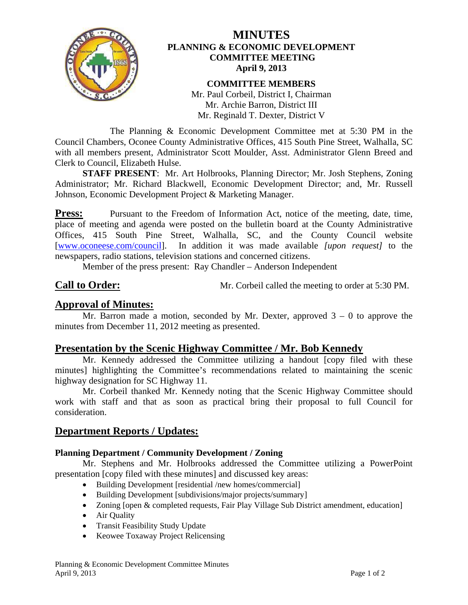

## **MINUTES PLANNING & ECONOMIC DEVELOPMENT COMMITTEE MEETING April 9, 2013**

**COMMITTEE MEMBERS**  Mr. Paul Corbeil, District I, Chairman Mr. Archie Barron, District III Mr. Reginald T. Dexter, District V

 The Planning & Economic Development Committee met at 5:30 PM in the Council Chambers, Oconee County Administrative Offices, 415 South Pine Street, Walhalla, SC with all members present, Administrator Scott Moulder, Asst. Administrator Glenn Breed and Clerk to Council, Elizabeth Hulse.

**STAFF PRESENT:** Mr. Art Holbrooks, Planning Director; Mr. Josh Stephens, Zoning Administrator; Mr. Richard Blackwell, Economic Development Director; and, Mr. Russell Johnson, Economic Development Project & Marketing Manager.

**Press:** Pursuant to the Freedom of Information Act, notice of the meeting, date, time, place of meeting and agenda were posted on the bulletin board at the County Administrative Offices, 415 South Pine Street, Walhalla, SC, and the County Council website [www.oconeese.com/council]. In addition it was made available *[upon request]* to the newspapers, radio stations, television stations and concerned citizens.

Member of the press present: Ray Chandler – Anderson Independent

**Call to Order:** Mr. Corbeil called the meeting to order at 5:30 PM.

# **Approval of Minutes:**

Mr. Barron made a motion, seconded by Mr. Dexter, approved  $3 - 0$  to approve the minutes from December 11, 2012 meeting as presented.

# **Presentation by the Scenic Highway Committee / Mr. Bob Kennedy**

Mr. Kennedy addressed the Committee utilizing a handout [copy filed with these minutes] highlighting the Committee's recommendations related to maintaining the scenic highway designation for SC Highway 11.

Mr. Corbeil thanked Mr. Kennedy noting that the Scenic Highway Committee should work with staff and that as soon as practical bring their proposal to full Council for consideration.

# **Department Reports / Updates:**

## **Planning Department / Community Development / Zoning**

 Mr. Stephens and Mr. Holbrooks addressed the Committee utilizing a PowerPoint presentation [copy filed with these minutes] and discussed key areas:

- Building Development [residential /new homes/commercial]
- Building Development [subdivisions/major projects/summary]
- Zoning [open & completed requests, Fair Play Village Sub District amendment, education]
- Air Quality
- Transit Feasibility Study Update
- Keowee Toxaway Project Relicensing